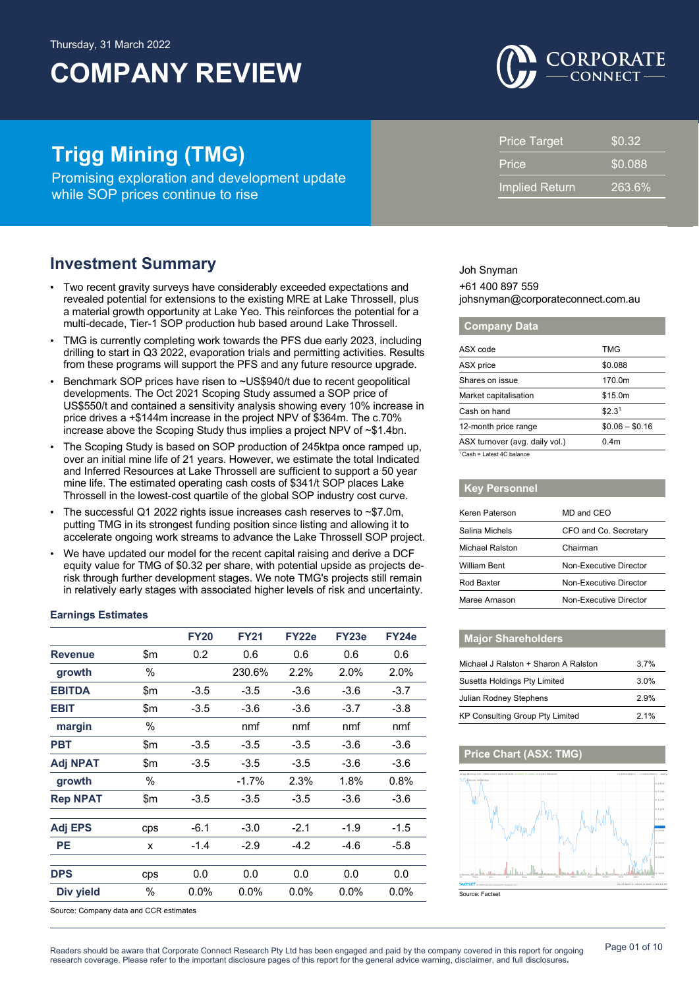

# **Trigg Mining (TMG)**

Promising exploration and development update while SOP prices continue to rise

## **Investment Summary**

- Two recent gravity surveys have considerably exceeded expectations and revealed potential for extensions to the existing MRE at Lake Throssell, plus a material growth opportunity at Lake Yeo. This reinforces the potential for a multi-decade, Tier-1 SOP production hub based around Lake Throssell.
- TMG is currently completing work towards the PFS due early 2023, including drilling to start in Q3 2022, evaporation trials and permitting activities. Results from these programs will support the PFS and any future resource upgrade.
- Benchmark SOP prices have risen to ~US\$940/t due to recent geopolitical developments. The Oct 2021 Scoping Study assumed a SOP price of US\$550/t and contained a sensitivity analysis showing every 10% increase in price drives a +\$144m increase in the project NPV of \$364m. The c.70% increase above the Scoping Study thus implies a project NPV of ~\$1.4bn.
- The Scoping Study is based on SOP production of 245ktpa once ramped up, over an initial mine life of 21 years. However, we estimate the total Indicated and Inferred Resources at Lake Throssell are sufficient to support a 50 year mine life. The estimated operating cash costs of \$341/t SOP places Lake Throssell in the lowest-cost quartile of the global SOP industry cost curve.
- The successful Q1 2022 rights issue increases cash reserves to ~\$7.0m, putting TMG in its strongest funding position since listing and allowing it to accelerate ongoing work streams to advance the Lake Throssell SOP project.
- We have updated our model for the recent capital raising and derive a DCF equity value for TMG of \$0.32 per share, with potential upside as projects derisk through further development stages. We note TMG's projects still remain in relatively early stages with associated higher levels of risk and uncertainty.

### **Earnings Estimates**

|                 |       | <b>FY20</b> | <b>FY21</b> | FY22e   | FY23e  | FY24e   |
|-----------------|-------|-------------|-------------|---------|--------|---------|
| <b>Revenue</b>  | \$m   | 0.2         | 0.6         | 0.6     | 0.6    | 0.6     |
| growth          | %     |             | 230.6%      | 2.2%    | 2.0%   | 2.0%    |
| <b>EBITDA</b>   | \$m   | $-3.5$      | $-3.5$      | $-3.6$  | $-3.6$ | $-3.7$  |
| <b>EBIT</b>     | \$m   | $-3.5$      | $-3.6$      | $-3.6$  | $-3.7$ | $-3.8$  |
| margin          | %     |             | nmf         | nmf     | nmf    | nmf     |
| <b>PBT</b>      | \$m   | $-3.5$      | $-3.5$      | $-3.5$  | $-3.6$ | $-3.6$  |
| <b>Adj NPAT</b> | \$m   | $-3.5$      | $-3.5$      | $-3.5$  | $-3.6$ | $-3.6$  |
| growth          | %     |             | $-1.7%$     | 2.3%    | 1.8%   | 0.8%    |
| <b>Rep NPAT</b> | \$m\$ | $-3.5$      | $-3.5$      | $-3.5$  | $-3.6$ | $-3.6$  |
| <b>Adj EPS</b>  | cps   | $-6.1$      | $-3.0$      | $-2.1$  | $-1.9$ | $-1.5$  |
| <b>PE</b>       | x     | $-1.4$      | $-2.9$      | $-4.2$  | $-4.6$ | $-5.8$  |
| <b>DPS</b>      | cps   | 0.0         | 0.0         | 0.0     | 0.0    | 0.0     |
| Div yield       | %     | $0.0\%$     | $0.0\%$     | $0.0\%$ | 0.0%   | $0.0\%$ |

Source: Company data and CCR estimates

| Price                 | \$0.088 |
|-----------------------|---------|
| <b>Implied Return</b> | 263.6%  |
|                       |         |

Price Target \$0.32

Joh Snyman +61 400 897 559 johsnyman@corporateconnect.com.au

### **Company Data**

| ASX code                              | TMG                |
|---------------------------------------|--------------------|
| ASX price                             | \$0.088            |
| Shares on issue                       | 170.0m             |
| Market capitalisation                 | \$15.0m            |
| Cash on hand                          | \$2.3 <sup>1</sup> |
| 12-month price range                  | $$0.06 - $0.16$    |
| ASX turnover (avg. daily vol.)        | 0.4 <sub>m</sub>   |
| <sup>1</sup> Cash = Latest 4C balance |                    |

| <b>Key Personnel</b> |                        |
|----------------------|------------------------|
| Keren Paterson       | MD and CEO             |
| Salina Michels       | CFO and Co. Secretary  |
| Michael Ralston      | Chairman               |
| <b>William Bent</b>  | Non-Executive Director |
| Rod Baxter           | Non-Executive Director |
| Maree Arnason        | Non-Executive Director |

### **Major Shareholders**

| Michael J Ralston + Sharon A Ralston   | 3.7% |
|----------------------------------------|------|
| Susetta Holdings Pty Limited           | 3.0% |
| Julian Rodney Stephens                 | 2.9% |
| <b>KP Consulting Group Pty Limited</b> | 2.1% |

### **Price Chart (ASX: TMG)**

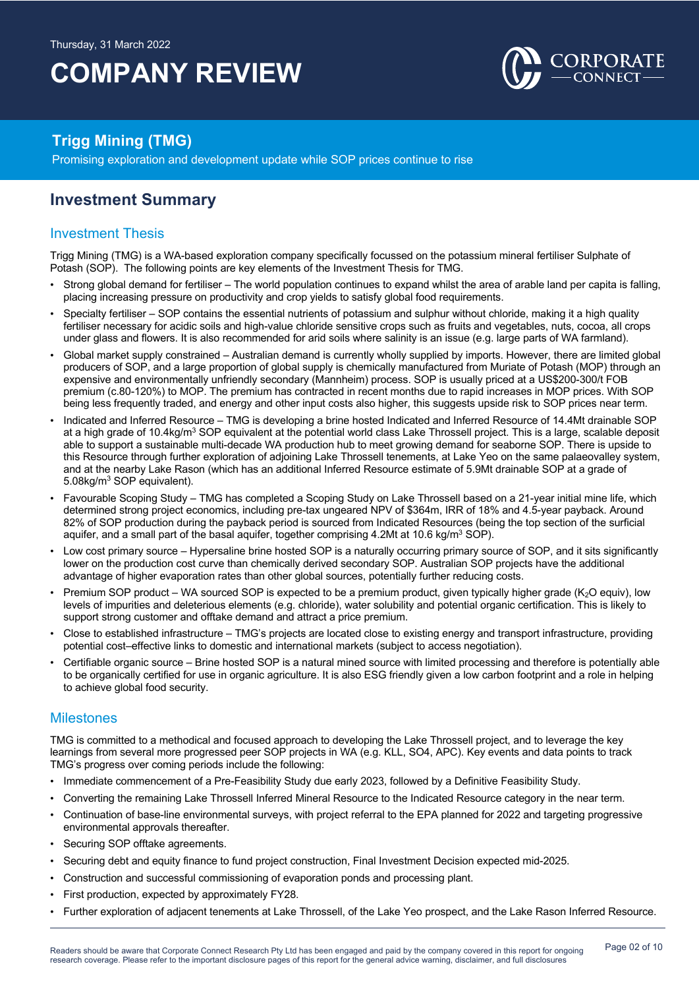

## **Trigg Mining (TMG)**

Promising exploration and development update while SOP prices continue to rise

## **Investment Summary**

### Investment Thesis

Trigg Mining (TMG) is a WA-based exploration company specifically focussed on the potassium mineral fertiliser Sulphate of Potash (SOP). The following points are key elements of the Investment Thesis for TMG.

- Strong global demand for fertiliser The world population continues to expand whilst the area of arable land per capita is falling, placing increasing pressure on productivity and crop yields to satisfy global food requirements.
- Specialty fertiliser SOP contains the essential nutrients of potassium and sulphur without chloride, making it a high quality fertiliser necessary for acidic soils and high-value chloride sensitive crops such as fruits and vegetables, nuts, cocoa, all crops under glass and flowers. It is also recommended for arid soils where salinity is an issue (e.g. large parts of WA farmland).
- Global market supply constrained Australian demand is currently wholly supplied by imports. However, there are limited global producers of SOP, and a large proportion of global supply is chemically manufactured from Muriate of Potash (MOP) through an expensive and environmentally unfriendly secondary (Mannheim) process. SOP is usually priced at a US\$200-300/t FOB premium (c.80-120%) to MOP. The premium has contracted in recent months due to rapid increases in MOP prices. With SOP being less frequently traded, and energy and other input costs also higher, this suggests upside risk to SOP prices near term.
- Indicated and Inferred Resource TMG is developing a brine hosted Indicated and Inferred Resource of 14.4Mt drainable SOP at a high grade of 10.4kg/m<sup>3</sup> SOP equivalent at the potential world class Lake Throssell project. This is a large, scalable deposit able to support a sustainable multi-decade WA production hub to meet growing demand for seaborne SOP. There is upside to this Resource through further exploration of adjoining Lake Throssell tenements, at Lake Yeo on the same palaeovalley system, and at the nearby Lake Rason (which has an additional Inferred Resource estimate of 5.9Mt drainable SOP at a grade of 5.08kg/m3 SOP equivalent).
- Favourable Scoping Study TMG has completed a Scoping Study on Lake Throssell based on a 21-year initial mine life, which determined strong project economics, including pre-tax ungeared NPV of \$364m, IRR of 18% and 4.5-year payback. Around 82% of SOP production during the payback period is sourced from Indicated Resources (being the top section of the surficial aquifer, and a small part of the basal aquifer, together comprising 4.2Mt at 10.6 kg/m<sup>3</sup> SOP).
- Low cost primary source Hypersaline brine hosted SOP is a naturally occurring primary source of SOP, and it sits significantly lower on the production cost curve than chemically derived secondary SOP. Australian SOP projects have the additional advantage of higher evaporation rates than other global sources, potentially further reducing costs.
- Premium SOP product WA sourced SOP is expected to be a premium product, given typically higher grade ( $K_2O$  equiv), low levels of impurities and deleterious elements (e.g. chloride), water solubility and potential organic certification. This is likely to support strong customer and offtake demand and attract a price premium.
- Close to established infrastructure TMG's projects are located close to existing energy and transport infrastructure, providing potential cost–effective links to domestic and international markets (subject to access negotiation).
- Certifiable organic source Brine hosted SOP is a natural mined source with limited processing and therefore is potentially able to be organically certified for use in organic agriculture. It is also ESG friendly given a low carbon footprint and a role in helping to achieve global food security.

### **Milestones**

TMG is committed to a methodical and focused approach to developing the Lake Throssell project, and to leverage the key learnings from several more progressed peer SOP projects in WA (e.g. KLL, SO4, APC). Key events and data points to track TMG's progress over coming periods include the following:

- Immediate commencement of a Pre-Feasibility Study due early 2023, followed by a Definitive Feasibility Study.
- Converting the remaining Lake Throssell Inferred Mineral Resource to the Indicated Resource category in the near term.
- Continuation of base-line environmental surveys, with project referral to the EPA planned for 2022 and targeting progressive environmental approvals thereafter.
- Securing SOP offtake agreements.
- Securing debt and equity finance to fund project construction, Final Investment Decision expected mid-2025.
- Construction and successful commissioning of evaporation ponds and processing plant.
- First production, expected by approximately FY28.
- Further exploration of adjacent tenements at Lake Throssell, of the Lake Yeo prospect, and the Lake Rason Inferred Resource.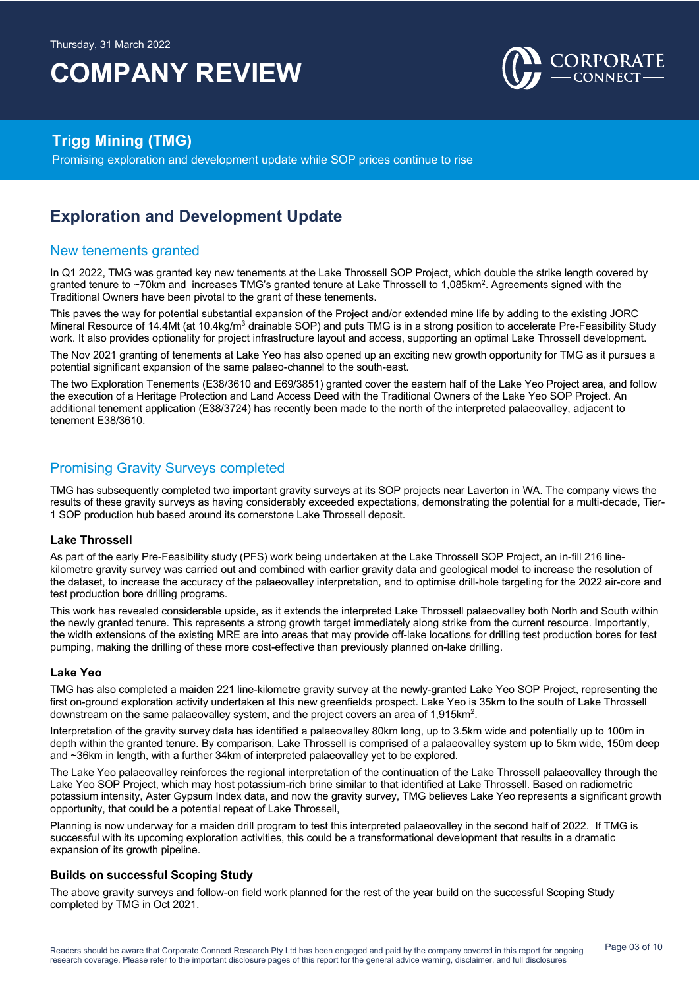

## **Trigg Mining (TMG)**

Promising exploration and development update while SOP prices continue to rise

# **Exploration and Development Update**

### New tenements granted

In Q1 2022, TMG was granted key new tenements at the Lake Throssell SOP Project, which double the strike length covered by granted tenure to ~70km and increases TMG's granted tenure at Lake Throssell to 1,085km2. Agreements signed with the Traditional Owners have been pivotal to the grant of these tenements.

This paves the way for potential substantial expansion of the Project and/or extended mine life by adding to the existing JORC Mineral Resource of 14.4Mt (at 10.4kg/m<sup>3</sup> drainable SOP) and puts TMG is in a strong position to accelerate Pre-Feasibility Study work. It also provides optionality for project infrastructure layout and access, supporting an optimal Lake Throssell development.

The Nov 2021 granting of tenements at Lake Yeo has also opened up an exciting new growth opportunity for TMG as it pursues a potential significant expansion of the same palaeo-channel to the south-east.

The two Exploration Tenements (E38/3610 and E69/3851) granted cover the eastern half of the Lake Yeo Project area, and follow the execution of a Heritage Protection and Land Access Deed with the Traditional Owners of the Lake Yeo SOP Project. An additional tenement application (E38/3724) has recently been made to the north of the interpreted palaeovalley, adjacent to tenement E38/3610.

### Promising Gravity Surveys completed

TMG has subsequently completed two important gravity surveys at its SOP projects near Laverton in WA. The company views the results of these gravity surveys as having considerably exceeded expectations, demonstrating the potential for a multi-decade, Tier-1 SOP production hub based around its cornerstone Lake Throssell deposit.

### **Lake Throssell**

As part of the early Pre-Feasibility study (PFS) work being undertaken at the Lake Throssell SOP Project, an in-fill 216 linekilometre gravity survey was carried out and combined with earlier gravity data and geological model to increase the resolution of the dataset, to increase the accuracy of the palaeovalley interpretation, and to optimise drill-hole targeting for the 2022 air-core and test production bore drilling programs.

This work has revealed considerable upside, as it extends the interpreted Lake Throssell palaeovalley both North and South within the newly granted tenure. This represents a strong growth target immediately along strike from the current resource. Importantly, the width extensions of the existing MRE are into areas that may provide off-lake locations for drilling test production bores for test pumping, making the drilling of these more cost-effective than previously planned on-lake drilling.

### **Lake Yeo**

TMG has also completed a maiden 221 line-kilometre gravity survey at the newly-granted Lake Yeo SOP Project, representing the first on-ground exploration activity undertaken at this new greenfields prospect. Lake Yeo is 35km to the south of Lake Throssell downstream on the same palaeovalley system, and the project covers an area of 1,915km<sup>2</sup>.

Interpretation of the gravity survey data has identified a palaeovalley 80km long, up to 3.5km wide and potentially up to 100m in depth within the granted tenure. By comparison, Lake Throssell is comprised of a palaeovalley system up to 5km wide, 150m deep and ~36km in length, with a further 34km of interpreted palaeovalley yet to be explored.

The Lake Yeo palaeovalley reinforces the regional interpretation of the continuation of the Lake Throssell palaeovalley through the Lake Yeo SOP Project, which may host potassium-rich brine similar to that identified at Lake Throssell. Based on radiometric potassium intensity, Aster Gypsum Index data, and now the gravity survey, TMG believes Lake Yeo represents a significant growth opportunity, that could be a potential repeat of Lake Throssell,

Planning is now underway for a maiden drill program to test this interpreted palaeovalley in the second half of 2022. If TMG is successful with its upcoming exploration activities, this could be a transformational development that results in a dramatic expansion of its growth pipeline.

### **Builds on successful Scoping Study**

The above gravity surveys and follow-on field work planned for the rest of the year build on the successful Scoping Study completed by TMG in Oct 2021.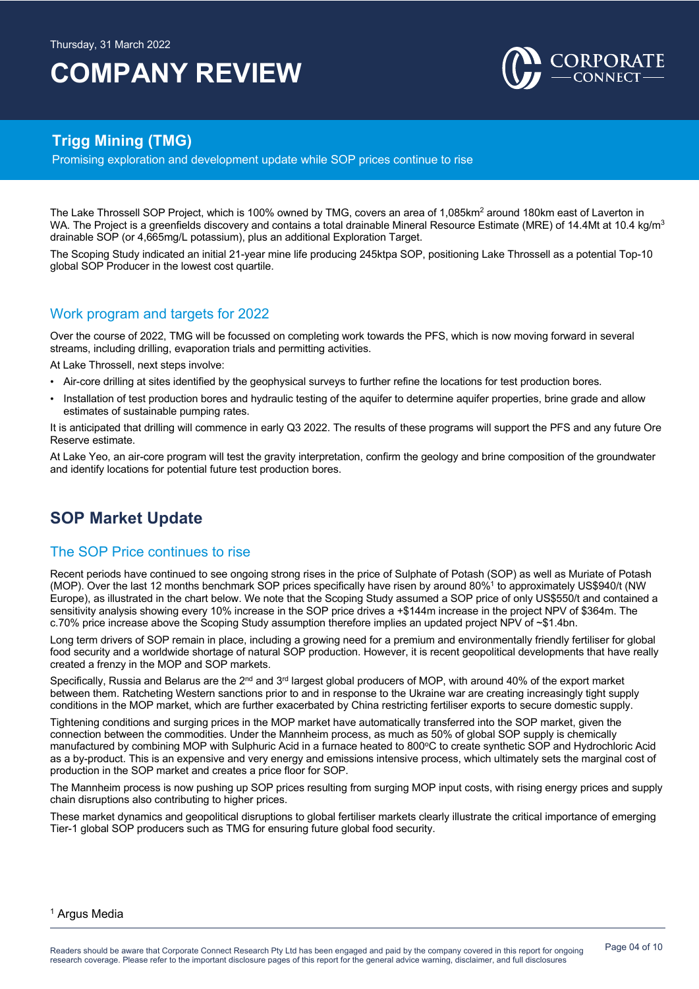

## **Trigg Mining (TMG)**

Promising exploration and development update while SOP prices continue to rise

The Lake Throssell SOP Project, which is 100% owned by TMG, covers an area of 1,085km<sup>2</sup> around 180km east of Laverton in WA. The Project is a greenfields discovery and contains a total drainable Mineral Resource Estimate (MRE) of 14.4Mt at 10.4 kg/m<sup>3</sup> drainable SOP (or 4,665mg/L potassium), plus an additional Exploration Target.

The Scoping Study indicated an initial 21-year mine life producing 245ktpa SOP, positioning Lake Throssell as a potential Top-10 global SOP Producer in the lowest cost quartile.

### Work program and targets for 2022

Over the course of 2022, TMG will be focussed on completing work towards the PFS, which is now moving forward in several streams, including drilling, evaporation trials and permitting activities.

At Lake Throssell, next steps involve:

- Air-core drilling at sites identified by the geophysical surveys to further refine the locations for test production bores.
- Installation of test production bores and hydraulic testing of the aquifer to determine aquifer properties, brine grade and allow estimates of sustainable pumping rates.

It is anticipated that drilling will commence in early Q3 2022. The results of these programs will support the PFS and any future Ore Reserve estimate.

At Lake Yeo, an air-core program will test the gravity interpretation, confirm the geology and brine composition of the groundwater and identify locations for potential future test production bores.

# **SOP Market Update**

### The SOP Price continues to rise

Recent periods have continued to see ongoing strong rises in the price of Sulphate of Potash (SOP) as well as Muriate of Potash (MOP). Over the last 12 months benchmark SOP prices specifically have risen by around 80%1 to approximately US\$940/t (NW Europe), as illustrated in the chart below. We note that the Scoping Study assumed a SOP price of only US\$550/t and contained a sensitivity analysis showing every 10% increase in the SOP price drives a +\$144m increase in the project NPV of \$364m. The c.70% price increase above the Scoping Study assumption therefore implies an updated project NPV of ~\$1.4bn.

Long term drivers of SOP remain in place, including a growing need for a premium and environmentally friendly fertiliser for global food security and a worldwide shortage of natural SOP production. However, it is recent geopolitical developments that have really created a frenzy in the MOP and SOP markets.

Specifically, Russia and Belarus are the 2<sup>nd</sup> and 3<sup>rd</sup> largest global producers of MOP, with around 40% of the export market between them. Ratcheting Western sanctions prior to and in response to the Ukraine war are creating increasingly tight supply conditions in the MOP market, which are further exacerbated by China restricting fertiliser exports to secure domestic supply.

Tightening conditions and surging prices in the MOP market have automatically transferred into the SOP market, given the connection between the commodities. Under the Mannheim process, as much as 50% of global SOP supply is chemically manufactured by combining MOP with Sulphuric Acid in a furnace heated to 800°C to create synthetic SOP and Hydrochloric Acid as a by-product. This is an expensive and very energy and emissions intensive process, which ultimately sets the marginal cost of production in the SOP market and creates a price floor for SOP.

The Mannheim process is now pushing up SOP prices resulting from surging MOP input costs, with rising energy prices and supply chain disruptions also contributing to higher prices.

These market dynamics and geopolitical disruptions to global fertiliser markets clearly illustrate the critical importance of emerging Tier-1 global SOP producers such as TMG for ensuring future global food security.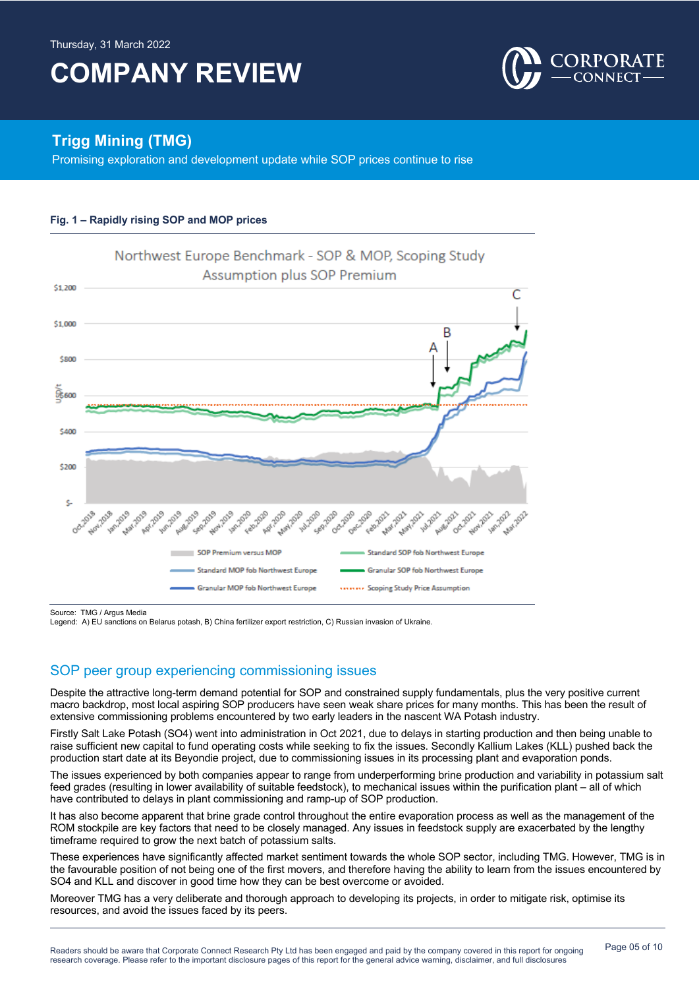

## **Trigg Mining (TMG)**

Promising exploration and development update while SOP prices continue to rise





Source: TMG / Argus Media

Legend: A) EU sanctions on Belarus potash, B) China fertilizer export restriction, C) Russian invasion of Ukraine.

### SOP peer group experiencing commissioning issues

Despite the attractive long-term demand potential for SOP and constrained supply fundamentals, plus the very positive current macro backdrop, most local aspiring SOP producers have seen weak share prices for many months. This has been the result of extensive commissioning problems encountered by two early leaders in the nascent WA Potash industry.

Firstly Salt Lake Potash (SO4) went into administration in Oct 2021, due to delays in starting production and then being unable to raise sufficient new capital to fund operating costs while seeking to fix the issues. Secondly Kallium Lakes (KLL) pushed back the production start date at its Beyondie project, due to commissioning issues in its processing plant and evaporation ponds.

The issues experienced by both companies appear to range from underperforming brine production and variability in potassium salt feed grades (resulting in lower availability of suitable feedstock), to mechanical issues within the purification plant – all of which have contributed to delays in plant commissioning and ramp-up of SOP production.

It has also become apparent that brine grade control throughout the entire evaporation process as well as the management of the ROM stockpile are key factors that need to be closely managed. Any issues in feedstock supply are exacerbated by the lengthy timeframe required to grow the next batch of potassium salts.

These experiences have significantly affected market sentiment towards the whole SOP sector, including TMG. However, TMG is in the favourable position of not being one of the first movers, and therefore having the ability to learn from the issues encountered by SO4 and KLL and discover in good time how they can be best overcome or avoided.

Moreover TMG has a very deliberate and thorough approach to developing its projects, in order to mitigate risk, optimise its resources, and avoid the issues faced by its peers.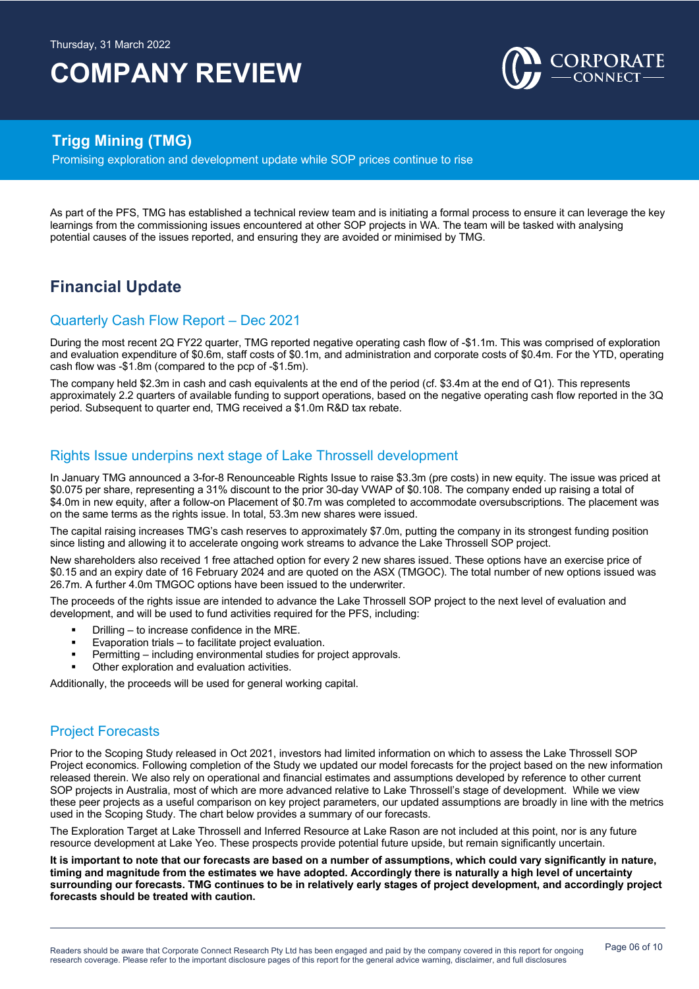

## **Trigg Mining (TMG)**

Promising exploration and development update while SOP prices continue to rise

As part of the PFS, TMG has established a technical review team and is initiating a formal process to ensure it can leverage the key learnings from the commissioning issues encountered at other SOP projects in WA. The team will be tasked with analysing potential causes of the issues reported, and ensuring they are avoided or minimised by TMG.

# **Financial Update**

### Quarterly Cash Flow Report – Dec 2021

During the most recent 2Q FY22 quarter, TMG reported negative operating cash flow of -\$1.1m. This was comprised of exploration and evaluation expenditure of \$0.6m, staff costs of \$0.1m, and administration and corporate costs of \$0.4m. For the YTD, operating cash flow was -\$1.8m (compared to the pcp of -\$1.5m).

The company held \$2.3m in cash and cash equivalents at the end of the period (cf. \$3.4m at the end of Q1). This represents approximately 2.2 quarters of available funding to support operations, based on the negative operating cash flow reported in the 3Q period. Subsequent to quarter end, TMG received a \$1.0m R&D tax rebate.

### Rights Issue underpins next stage of Lake Throssell development

In January TMG announced a 3-for-8 Renounceable Rights Issue to raise \$3.3m (pre costs) in new equity. The issue was priced at \$0.075 per share, representing a 31% discount to the prior 30-day VWAP of \$0.108. The company ended up raising a total of \$4.0m in new equity, after a follow-on Placement of \$0.7m was completed to accommodate oversubscriptions. The placement was on the same terms as the rights issue. In total, 53.3m new shares were issued.

The capital raising increases TMG's cash reserves to approximately \$7.0m, putting the company in its strongest funding position since listing and allowing it to accelerate ongoing work streams to advance the Lake Throssell SOP project.

New shareholders also received 1 free attached option for every 2 new shares issued. These options have an exercise price of \$0.15 and an expiry date of 16 February 2024 and are quoted on the ASX (TMGOC). The total number of new options issued was 26.7m. A further 4.0m TMGOC options have been issued to the underwriter.

The proceeds of the rights issue are intended to advance the Lake Throssell SOP project to the next level of evaluation and development, and will be used to fund activities required for the PFS, including:

- § Drilling to increase confidence in the MRE.
- Evaporation trials to facilitate project evaluation.
- Permitting including environmental studies for project approvals.
- Other exploration and evaluation activities.

Additionally, the proceeds will be used for general working capital.

### Project Forecasts

Prior to the Scoping Study released in Oct 2021, investors had limited information on which to assess the Lake Throssell SOP Project economics. Following completion of the Study we updated our model forecasts for the project based on the new information released therein. We also rely on operational and financial estimates and assumptions developed by reference to other current SOP projects in Australia, most of which are more advanced relative to Lake Throssell's stage of development. While we view these peer projects as a useful comparison on key project parameters, our updated assumptions are broadly in line with the metrics used in the Scoping Study. The chart below provides a summary of our forecasts.

The Exploration Target at Lake Throssell and Inferred Resource at Lake Rason are not included at this point, nor is any future resource development at Lake Yeo. These prospects provide potential future upside, but remain significantly uncertain.

**It is important to note that our forecasts are based on a number of assumptions, which could vary significantly in nature, timing and magnitude from the estimates we have adopted. Accordingly there is naturally a high level of uncertainty surrounding our forecasts. TMG continues to be in relatively early stages of project development, and accordingly project forecasts should be treated with caution.**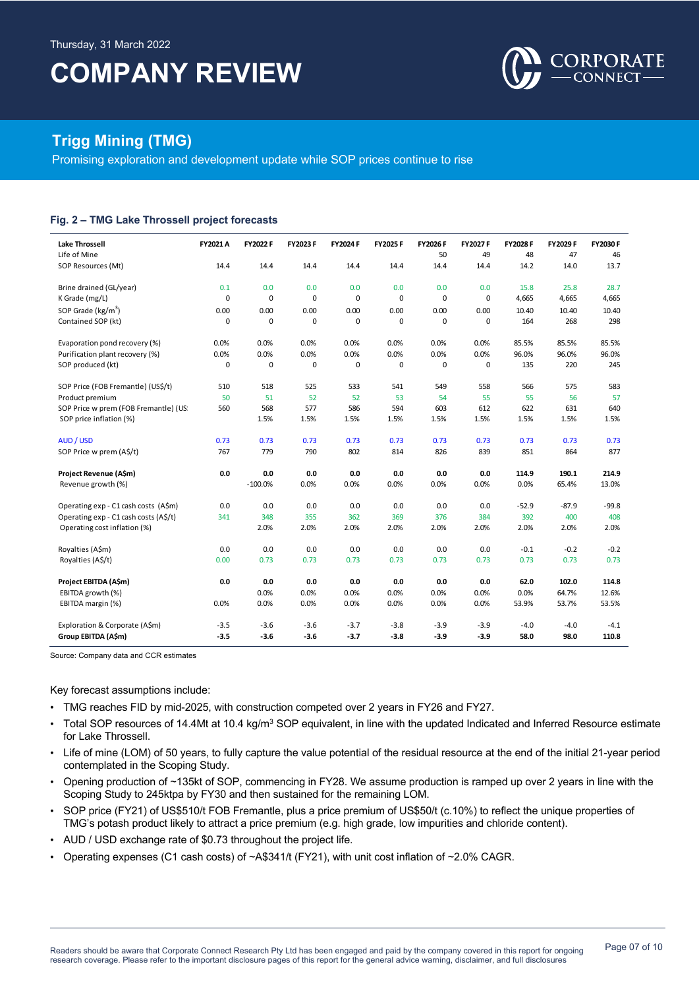

## **Trigg Mining (TMG)**

Promising exploration and development update while SOP prices continue to rise

#### **Fig. 2 – TMG Lake Throssell project forecasts**

| <b>Lake Throssell</b>                 | FY2021 A    | FY2022 F  | FY2023 F    | <b>FY2024 F</b> | FY2025 F  | FY2026F     | FY2027 F    | FY2028 F | FY2029 F | FY2030 F |
|---------------------------------------|-------------|-----------|-------------|-----------------|-----------|-------------|-------------|----------|----------|----------|
| Life of Mine                          |             |           |             |                 |           | 50          | 49          | 48       | 47       | 46       |
| SOP Resources (Mt)                    | 14.4        | 14.4      | 14.4        | 14.4            | 14.4      | 14.4        | 14.4        | 14.2     | 14.0     | 13.7     |
| Brine drained (GL/year)               | 0.1         | 0.0       | 0.0         | 0.0             | 0.0       | 0.0         | 0.0         | 15.8     | 25.8     | 28.7     |
| K Grade (mg/L)                        | $\mathbf 0$ | 0         | $\mathbf 0$ | $\mathbf 0$     | 0         | $\mathbf 0$ | $\mathbf 0$ | 4,665    | 4,665    | 4,665    |
| SOP Grade (kg/m <sup>3</sup> )        | 0.00        | 0.00      | 0.00        | 0.00            | 0.00      | 0.00        | 0.00        | 10.40    | 10.40    | 10.40    |
| Contained SOP (kt)                    | 0           | 0         | 0           | 0               | $\pmb{0}$ | $\mathbf 0$ | 0           | 164      | 268      | 298      |
| Evaporation pond recovery (%)         | 0.0%        | 0.0%      | 0.0%        | 0.0%            | 0.0%      | 0.0%        | 0.0%        | 85.5%    | 85.5%    | 85.5%    |
| Purification plant recovery (%)       | 0.0%        | 0.0%      | 0.0%        | 0.0%            | 0.0%      | 0.0%        | 0.0%        | 96.0%    | 96.0%    | 96.0%    |
| SOP produced (kt)                     | 0           | 0         | 0           | 0               | 0         | 0           | 0           | 135      | 220      | 245      |
| SOP Price (FOB Fremantle) (US\$/t)    | 510         | 518       | 525         | 533             | 541       | 549         | 558         | 566      | 575      | 583      |
| Product premium                       | 50          | 51        | 52          | 52              | 53        | 54          | 55          | 55       | 56       | 57       |
| SOP Price w prem (FOB Fremantle) (US  | 560         | 568       | 577         | 586             | 594       | 603         | 612         | 622      | 631      | 640      |
| SOP price inflation (%)               |             | 1.5%      | 1.5%        | 1.5%            | 1.5%      | 1.5%        | 1.5%        | 1.5%     | 1.5%     | 1.5%     |
| AUD / USD                             | 0.73        | 0.73      | 0.73        | 0.73            | 0.73      | 0.73        | 0.73        | 0.73     | 0.73     | 0.73     |
| SOP Price w prem (A\$/t)              | 767         | 779       | 790         | 802             | 814       | 826         | 839         | 851      | 864      | 877      |
| Project Revenue (A\$m)                | 0.0         | 0.0       | 0.0         | 0.0             | 0.0       | 0.0         | 0.0         | 114.9    | 190.1    | 214.9    |
| Revenue growth (%)                    |             | $-100.0%$ | 0.0%        | 0.0%            | 0.0%      | 0.0%        | 0.0%        | 0.0%     | 65.4%    | 13.0%    |
| Operating exp - C1 cash costs (A\$m)  | 0.0         | 0.0       | 0.0         | 0.0             | 0.0       | 0.0         | 0.0         | $-52.9$  | $-87.9$  | $-99.8$  |
| Operating exp - C1 cash costs (A\$/t) | 341         | 348       | 355         | 362             | 369       | 376         | 384         | 392      | 400      | 408      |
| Operating cost inflation (%)          |             | 2.0%      | 2.0%        | 2.0%            | 2.0%      | 2.0%        | 2.0%        | 2.0%     | 2.0%     | 2.0%     |
| Royalties (A\$m)                      | 0.0         | 0.0       | 0.0         | 0.0             | 0.0       | 0.0         | 0.0         | $-0.1$   | $-0.2$   | $-0.2$   |
| Royalties (A\$/t)                     | 0.00        | 0.73      | 0.73        | 0.73            | 0.73      | 0.73        | 0.73        | 0.73     | 0.73     | 0.73     |
| Project EBITDA (A\$m)                 | 0.0         | 0.0       | 0.0         | 0.0             | 0.0       | 0.0         | 0.0         | 62.0     | 102.0    | 114.8    |
| EBITDA growth (%)                     |             | 0.0%      | 0.0%        | 0.0%            | 0.0%      | 0.0%        | 0.0%        | 0.0%     | 64.7%    | 12.6%    |
| EBITDA margin (%)                     | 0.0%        | 0.0%      | 0.0%        | 0.0%            | 0.0%      | 0.0%        | 0.0%        | 53.9%    | 53.7%    | 53.5%    |
| Exploration & Corporate (A\$m)        | $-3.5$      | $-3.6$    | $-3.6$      | $-3.7$          | $-3.8$    | $-3.9$      | $-3.9$      | $-4.0$   | $-4.0$   | $-4.1$   |
| Group EBITDA (A\$m)                   | $-3.5$      | $-3.6$    | $-3.6$      | $-3.7$          | $-3.8$    | $-3.9$      | $-3.9$      | 58.0     | 98.0     | 110.8    |

Source: Company data and CCR estimates

Key forecast assumptions include:

- TMG reaches FID by mid-2025, with construction competed over 2 years in FY26 and FY27.
- Total SOP resources of 14.4Mt at 10.4 kg/m<sup>3</sup> SOP equivalent, in line with the updated Indicated and Inferred Resource estimate for Lake Throssell.
- Life of mine (LOM) of 50 years, to fully capture the value potential of the residual resource at the end of the initial 21-year period contemplated in the Scoping Study.
- Opening production of ~135kt of SOP, commencing in FY28. We assume production is ramped up over 2 years in line with the Scoping Study to 245ktpa by FY30 and then sustained for the remaining LOM.
- SOP price (FY21) of US\$510/t FOB Fremantle, plus a price premium of US\$50/t (c.10%) to reflect the unique properties of TMG's potash product likely to attract a price premium (e.g. high grade, low impurities and chloride content).
- AUD / USD exchange rate of \$0.73 throughout the project life.
- Operating expenses (C1 cash costs) of ~A\$341/t (FY21), with unit cost inflation of ~2.0% CAGR.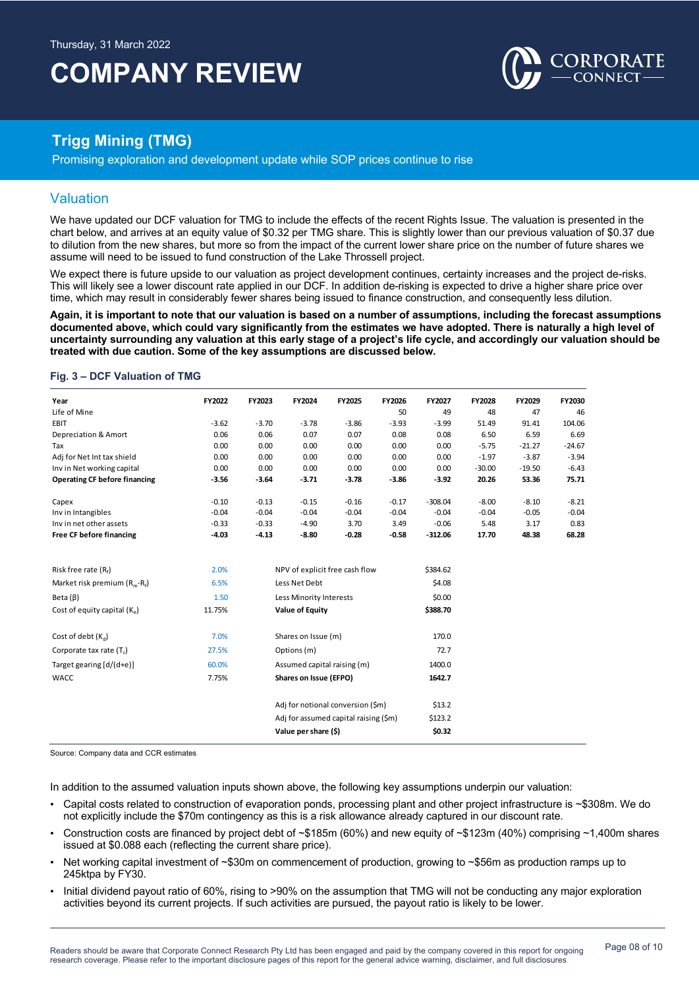

## **Trigg Mining (TMG)**

Promising exploration and development update while SOP prices continue to rise

### Valuation

We have updated our DCF valuation for TMG to include the effects of the recent Rights Issue. The valuation is presented in the chart below, and arrives at an equity value of \$0.32 per TMG share. This is slightly lower than our previous valuation of \$0.37 due to dilution from the new shares, but more so from the impact of the current lower share price on the number of future shares we assume will need to be issued to fund construction of the Lake Throssell project.

We expect there is future upside to our valuation as project development continues, certainty increases and the project de-risks. This will likely see a lower discount rate applied in our DCF. In addition de-risking is expected to drive a higher share price over time, which may result in considerably fewer shares being issued to finance construction, and consequently less dilution.

**Again, it is important to note that our valuation is based on a number of assumptions, including the forecast assumptions documented above, which could vary significantly from the estimates we have adopted. There is naturally a high level of uncertainty surrounding any valuation at this early stage of a project's life cycle, and accordingly our valuation should be treated with due caution. Some of the key assumptions are discussed below.** 

### **Fig. 3 – DCF Valuation of TMG**

| Year                                 | FY2022  | FY2023                      | FY2024                                | FY2025  | FY2026  | FY2027    | FY2028   | FY2029   | FY2030   |
|--------------------------------------|---------|-----------------------------|---------------------------------------|---------|---------|-----------|----------|----------|----------|
| Life of Mine                         |         |                             |                                       |         | 50      | 49        | 48       | 47       | 46       |
| EBIT                                 | $-3.62$ | $-3.70$                     | $-3.78$                               | $-3.86$ | $-3.93$ | $-3.99$   | 51.49    | 91.41    | 104.06   |
| Depreciation & Amort                 | 0.06    | 0.06                        | 0.07                                  | 0.07    | 0.08    | 0.08      | 6.50     | 6.59     | 6.69     |
| Tax                                  | 0.00    | 0.00                        | 0.00                                  | 0.00    | 0.00    | 0.00      | $-5.75$  | $-21.27$ | $-24.67$ |
| Adj for Net Int tax shield           | 0.00    | 0.00                        | 0.00                                  | 0.00    | 0.00    | 0.00      | $-1.97$  | $-3.87$  | $-3.94$  |
| Inv in Net working capital           | 0.00    | 0.00                        | 0.00                                  | 0.00    | 0.00    | 0.00      | $-30.00$ | $-19.50$ | $-6.43$  |
| <b>Operating CF before financing</b> | $-3.56$ | $-3.64$                     | $-3.71$                               | $-3.78$ | $-3.86$ | $-3.92$   | 20.26    | 53.36    | 75.71    |
| Capex                                | $-0.10$ | $-0.13$                     | $-0.15$                               | $-0.16$ | $-0.17$ | $-308.04$ | $-8.00$  | $-8.10$  | $-8.21$  |
| Inv in Intangibles                   | $-0.04$ | $-0.04$                     | $-0.04$                               | $-0.04$ | $-0.04$ | $-0.04$   | $-0.04$  | $-0.05$  | $-0.04$  |
| Inv in net other assets              | $-0.33$ | $-0.33$                     | $-4.90$                               | 3.70    | 3.49    | $-0.06$   | 5.48     | 3.17     | 0.83     |
| <b>Free CF before financing</b>      | $-4.03$ | $-4.13$                     | $-8.80$                               | $-0.28$ | $-0.58$ | $-312.06$ | 17.70    | 48.38    | 68.28    |
|                                      |         |                             |                                       |         |         |           |          |          |          |
| Risk free rate $(R_f)$               | 2.0%    |                             | NPV of explicit free cash flow        |         |         | \$384.62  |          |          |          |
| Market risk premium $(R_m-R_f)$      | 6.5%    | Less Net Debt               |                                       |         |         | \$4.08    |          |          |          |
| Beta $(\beta)$                       | 1.50    | Less Minority Interests     |                                       |         |         | \$0.00    |          |          |          |
| Cost of equity capital $(K_n)$       | 11.75%  | <b>Value of Equity</b>      |                                       |         |         | \$388.70  |          |          |          |
| Cost of debt $(K_d)$                 | 7.0%    |                             | Shares on Issue (m)                   |         |         | 170.0     |          |          |          |
| Corporate tax rate (T <sub>c</sub> ) | 27.5%   | Options (m)                 |                                       |         |         | 72.7      |          |          |          |
| Target gearing [d/(d+e)]             | 60.0%   | Assumed capital raising (m) |                                       |         |         | 1400.0    |          |          |          |
| <b>WACC</b>                          | 7.75%   |                             | Shares on Issue (EFPO)                |         |         | 1642.7    |          |          |          |
|                                      |         |                             |                                       |         |         |           |          |          |          |
|                                      |         |                             | Adj for notional conversion (\$m)     |         |         | \$13.2\$  |          |          |          |
|                                      |         |                             | Adj for assumed capital raising (\$m) |         |         | \$123.2   |          |          |          |
|                                      |         |                             | Value per share (\$)                  |         |         | \$0.32    |          |          |          |

Source: Company data and CCR estimates

In addition to the assumed valuation inputs shown above, the following key assumptions underpin our valuation:

- Capital costs related to construction of evaporation ponds, processing plant and other project infrastructure is ~\$308m. We do not explicitly include the \$70m contingency as this is a risk allowance already captured in our discount rate.
- Construction costs are financed by project debt of ~\$185m (60%) and new equity of ~\$123m (40%) comprising ~1,400m shares issued at \$0.088 each (reflecting the current share price).
- Net working capital investment of ~\$30m on commencement of production, growing to ~\$56m as production ramps up to 245ktpa by FY30.
- Initial dividend payout ratio of 60%, rising to >90% on the assumption that TMG will not be conducting any major exploration activities beyond its current projects. If such activities are pursued, the payout ratio is likely to be lower.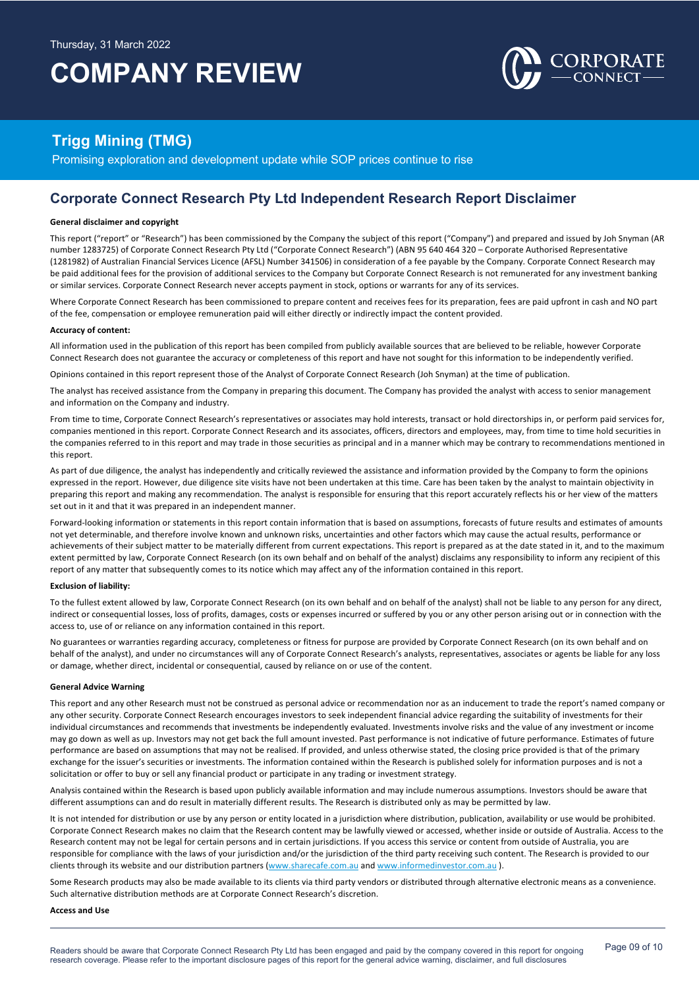

## **Trigg Mining (TMG)**

Promising exploration and development update while SOP prices continue to rise

### **Corporate Connect Research Pty Ltd Independent Research Report Disclaimer**

#### **General disclaimer and copyright**

This report ("report" or "Research") has been commissioned by the Company the subject of this report ("Company") and prepared and issued by Joh Snyman (AR number 1283725) of Corporate Connect Research Pty Ltd ("Corporate Connect Research") (ABN 95 640 464 320 – Corporate Authorised Representative (1281982) of Australian Financial Services Licence (AFSL) Number 341506) in consideration of a fee payable by the Company. Corporate Connect Research may be paid additional fees for the provision of additional services to the Company but Corporate Connect Research is not remunerated for any investment banking or similar services. Corporate Connect Research never accepts payment in stock, options or warrants for any of its services.

Where Corporate Connect Research has been commissioned to prepare content and receives fees for its preparation, fees are paid upfront in cash and NO part of the fee, compensation or employee remuneration paid will either directly or indirectly impact the content provided.

#### **Accuracy of content:**

All information used in the publication of this report has been compiled from publicly available sources that are believed to be reliable, however Corporate Connect Research does not guarantee the accuracy or completeness of this report and have not sought for this information to be independently verified.

Opinions contained in this report represent those of the Analyst of Corporate Connect Research (Joh Snyman) at the time of publication.

The analyst has received assistance from the Company in preparing this document. The Company has provided the analyst with access to senior management and information on the Company and industry.

From time to time, Corporate Connect Research's representatives or associates may hold interests, transact or hold directorships in, or perform paid services for, companies mentioned in this report. Corporate Connect Research and its associates, officers, directors and employees, may, from time to time hold securities in the companies referred to in this report and may trade in those securities as principal and in a manner which may be contrary to recommendations mentioned in this report.

As part of due diligence, the analyst has independently and critically reviewed the assistance and information provided by the Company to form the opinions expressed in the report. However, due diligence site visits have not been undertaken at this time. Care has been taken by the analyst to maintain objectivity in preparing this report and making any recommendation. The analyst is responsible for ensuring that this report accurately reflects his or her view of the matters set out in it and that it was prepared in an independent manner.

Forward-looking information or statements in this report contain information that is based on assumptions, forecasts of future results and estimates of amounts not yet determinable, and therefore involve known and unknown risks, uncertainties and other factors which may cause the actual results, performance or achievements of their subject matter to be materially different from current expectations. This report is prepared as at the date stated in it, and to the maximum extent permitted by law, Corporate Connect Research (on its own behalf and on behalf of the analyst) disclaims any responsibility to inform any recipient of this report of any matter that subsequently comes to its notice which may affect any of the information contained in this report.

#### **Exclusion of liability:**

To the fullest extent allowed by law, Corporate Connect Research (on its own behalf and on behalf of the analyst) shall not be liable to any person for any direct, indirect or consequential losses, loss of profits, damages, costs or expenses incurred or suffered by you or any other person arising out or in connection with the access to, use of or reliance on any information contained in this report.

No guarantees or warranties regarding accuracy, completeness or fitness for purpose are provided by Corporate Connect Research (on its own behalf and on behalf of the analyst), and under no circumstances will any of Corporate Connect Research's analysts, representatives, associates or agents be liable for any loss or damage, whether direct, incidental or consequential, caused by reliance on or use of the content.

#### **General Advice Warning**

This report and any other Research must not be construed as personal advice or recommendation nor as an inducement to trade the report's named company or any other security. Corporate Connect Research encourages investors to seek independent financial advice regarding the suitability of investments for their individual circumstances and recommends that investments be independently evaluated. Investments involve risks and the value of any investment or income may go down as well as up. Investors may not get back the full amount invested. Past performance is not indicative of future performance. Estimates of future performance are based on assumptions that may not be realised. If provided, and unless otherwise stated, the closing price provided is that of the primary exchange for the issuer's securities or investments. The information contained within the Research is published solely for information purposes and is not a solicitation or offer to buy or sell any financial product or participate in any trading or investment strategy.

Analysis contained within the Research is based upon publicly available information and may include numerous assumptions. Investors should be aware that different assumptions can and do result in materially different results. The Research is distributed only as may be permitted by law.

It is not intended for distribution or use by any person or entity located in a jurisdiction where distribution, publication, availability or use would be prohibited. Corporate Connect Research makes no claim that the Research content may be lawfully viewed or accessed, whether inside or outside of Australia. Access to the Research content may not be legal for certain persons and in certain jurisdictions. If you access this service or content from outside of Australia, you are responsible for compliance with the laws of your jurisdiction and/or the jurisdiction of the third party receiving such content. The Research is provided to our clients through its website and our distribution partners (www.sharecafe.com.au and www.informedinvestor.com.au ).

Some Research products may also be made available to its clients via third party vendors or distributed through alternative electronic means as a convenience. Such alternative distribution methods are at Corporate Connect Research's discretion.

#### **Access and Use**